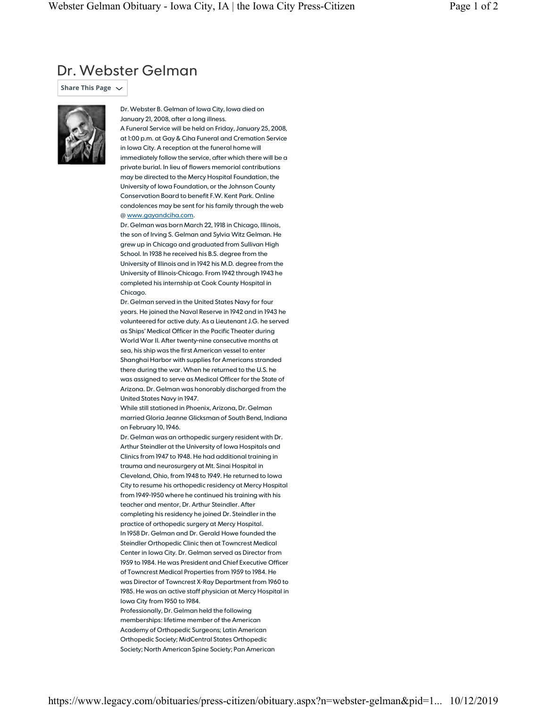## Dr. Webster Gelman

**Share This Page** 



Dr. Webster B. Gelman of Iowa City, Iowa died on January 21, 2008, after a long illness.

A Funeral Service will be held on Friday, January 25, 2008, at 1:00 p.m. at Gay & Ciha Funeral and Cremation Service in Iowa City. A reception at the funeral home will immediately follow the service, after which there will be a private burial. In lieu of flowers memorial contributions may be directed to the Mercy Hospital Foundation, the University of Iowa Foundation, or the Johnson County Conservation Board to benefit F.W. Kent Park. Online condolences may be sent for his family through the web @ www.gayandciha.com.

Dr. Gelman was born March 22, 1918 in Chicago, Illinois, the son of Irving S. Gelman and Sylvia Witz Gelman. He grew up in Chicago and graduated from Sullivan High School. In 1938 he received his B.S. degree from the University of Illinois and in 1942 his M.D. degree from the University of Illinois-Chicago. From 1942 through 1943 he completed his internship at Cook County Hospital in Chicago.

Dr. Gelman served in the United States Navy for four years. He joined the Naval Reserve in 1942 and in 1943 he volunteered for active duty. As a Lieutenant J.G. he served as Ships' Medical Officer in the Pacific Theater during World War II. After twenty-nine consecutive months at sea, his ship was the first American vessel to enter Shanghai Harbor with supplies for Americans stranded there during the war. When he returned to the U.S. he was assigned to serve as Medical Officer for the State of Arizona. Dr. Gelman was honorably discharged from the United States Navy in 1947.

While still stationed in Phoenix, Arizona, Dr. Gelman married Gloria Jeanne Glicksman of South Bend, Indiana on February 10, 1946.

Dr. Gelman was an orthopedic surgery resident with Dr. Arthur Steindler at the University of Iowa Hospitals and Clinics from 1947 to 1948. He had additional training in trauma and neurosurgery at Mt. Sinai Hospital in Cleveland, Ohio, from 1948 to 1949. He returned to Iowa City to resume his orthopedic residency at Mercy Hospital from 1949-1950 where he continued his training with his teacher and mentor, Dr. Arthur Steindler. After completing his residency he joined Dr. Steindler in the practice of orthopedic surgery at Mercy Hospital. In 1958 Dr. Gelman and Dr. Gerald Howe founded the Steindler Orthopedic Clinic then at Towncrest Medical Center in Iowa City. Dr. Gelman served as Director from 1959 to 1984. He was President and Chief Executive Officer of Towncrest Medical Properties from 1959 to 1984. He was Director of Towncrest X-Ray Department from 1960 to 1985. He was an active staff physician at Mercy Hospital in Iowa City from 1950 to 1984.

Professionally, Dr. Gelman held the following memberships: lifetime member of the American Academy of Orthopedic Surgeons; Latin American Orthopedic Society; MidCentral States Orthopedic Society; North American Spine Society; Pan American